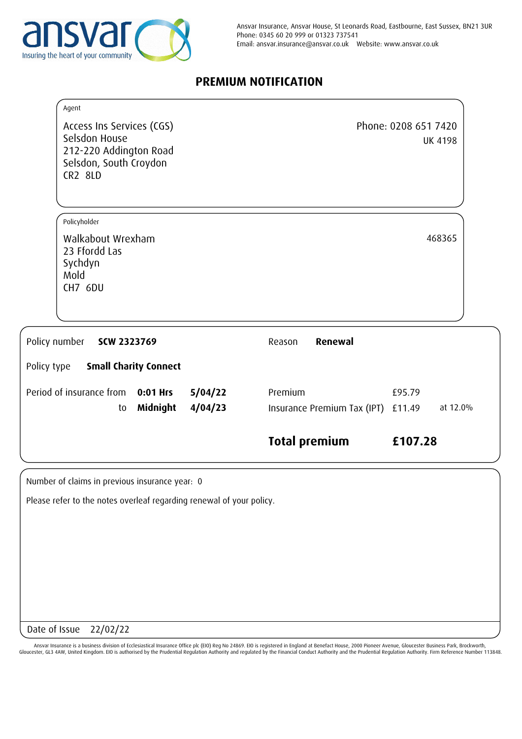

# **PREMIUM NOTIFICATION**

| Agent                                                                                                            |                                               |                                        |
|------------------------------------------------------------------------------------------------------------------|-----------------------------------------------|----------------------------------------|
| Access Ins Services (CGS)<br>Selsdon House<br>212-220 Addington Road<br>Selsdon, South Croydon<br><b>CR2 8LD</b> |                                               | Phone: 0208 651 7420<br><b>UK 4198</b> |
| Policyholder                                                                                                     |                                               |                                        |
| Walkabout Wrexham<br>23 Ffordd Las<br>Sychdyn<br>Mold<br>CH7 6DU                                                 |                                               | 468365                                 |
| Policy number<br>SCW 2323769<br><b>Small Charity Connect</b>                                                     | Renewal<br>Reason                             |                                        |
| Policy type                                                                                                      |                                               |                                        |
| Period of insurance from<br>0:01 Hrs<br>5/04/22<br>4/04/23<br><b>Midnight</b><br>to                              | Premium<br>Insurance Premium Tax (IPT) £11.49 | £95.79<br>at 12.0%                     |
|                                                                                                                  | <b>Total premium</b>                          | £107.28                                |
| Number of claims in previous insurance year: 0                                                                   |                                               |                                        |
| Please refer to the notes overleaf regarding renewal of your policy.                                             |                                               |                                        |
|                                                                                                                  |                                               |                                        |

Date of Issue 22/02/22

Ansvar Insurance is a business division of Ecclesiastical Insurance Office plc (EIO) Reg No 24869. EIO is registered in England at Benefact House, 2000 Pioneer Avenue, Gloucester Business Park, Brockworth,<br>Gloucester, GL3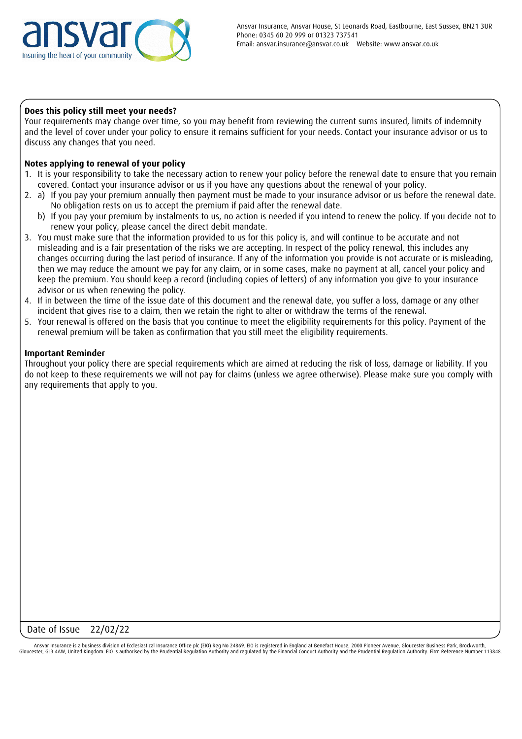

#### **Does this policy still meet your needs?**

Your requirements may change over time, so you may benefit from reviewing the current sums insured, limits of indemnity and the level of cover under your policy to ensure it remains sufficient for your needs. Contact your insurance advisor or us to discuss any changes that you need.

## **Notes applying to renewal of your policy**

- 1. It is your responsibility to take the necessary action to renew your policy before the renewal date to ensure that you remain covered. Contact your insurance advisor or us if you have any questions about the renewal of your policy.
- 2. a) If you pay your premium annually then payment must be made to your insurance advisor or us before the renewal date. No obligation rests on us to accept the premium if paid after the renewal date.
	- b) If you pay your premium by instalments to us, no action is needed if you intend to renew the policy. If you decide not to renew your policy, please cancel the direct debit mandate.
- 3. You must make sure that the information provided to us for this policy is, and will continue to be accurate and not misleading and is a fair presentation of the risks we are accepting. In respect of the policy renewal, this includes any changes occurring during the last period of insurance. If any of the information you provide is not accurate or is misleading, then we may reduce the amount we pay for any claim, or in some cases, make no payment at all, cancel your policy and keep the premium. You should keep a record (including copies of letters) of any information you give to your insurance advisor or us when renewing the policy.
- 4. If in between the time of the issue date of this document and the renewal date, you suffer a loss, damage or any other incident that gives rise to a claim, then we retain the right to alter or withdraw the terms of the renewal.
- 5. Your renewal is offered on the basis that you continue to meet the eligibility requirements for this policy. Payment of the renewal premium will be taken as confirmation that you still meet the eligibility requirements.

#### **Important Reminder**

Throughout your policy there are special requirements which are aimed at reducing the risk of loss, damage or liability. If you do not keep to these requirements we will not pay for claims (unless we agree otherwise). Please make sure you comply with any requirements that apply to you.

## Date of Issue 22/02/22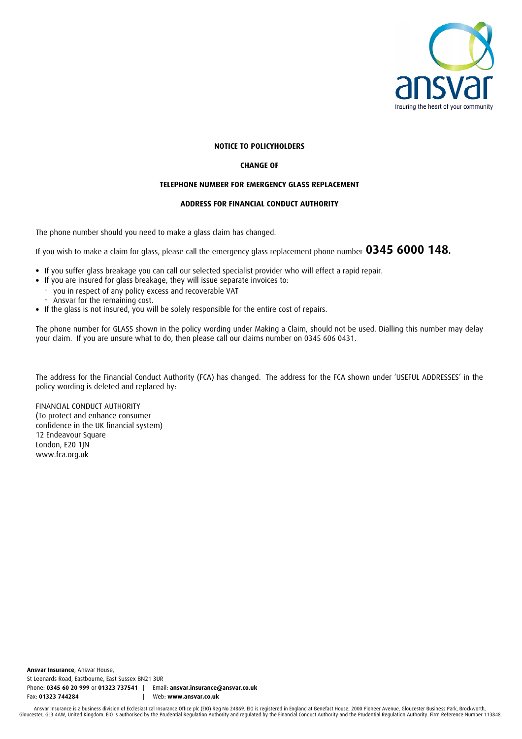

#### **NOTICE TO POLICYHOLDERS**

#### **CHANGE OF**

#### **TELEPHONE NUMBER FOR EMERGENCY GLASS REPLACEMENT**

#### **ADDRESS FOR FINANCIAL CONDUCT AUTHORITY**

The phone number should you need to make a glass claim has changed.

If you wish to make a claim for glass, please call the emergency glass replacement phone number **0345 6000 148.**

- If you suffer glass breakage you can call our selected specialist provider who will effect a rapid repair.
- If you are insured for glass breakage, they will issue separate invoices to:
- you in respect of any policy excess and recoverable VAT
- Ansvar for the remaining cost.
- -<br>-<br>-If the glass is not insured, you will be solely responsible for the entire cost of repairs.

The phone number for GLASS shown in the policy wording under Making a Claim, should not be used. Dialling this number may delay your claim. If you are unsure what to do, then please call our claims number on 0345 606 0431.

The address for the Financial Conduct Authority (FCA) has changed. The address for the FCA shown under 'USEFUL ADDRESSES' in the policy wording is deleted and replaced by:

FINANCIAL CONDUCT AUTHORITY (To protect and enhance consumer confidence in the UK financial system) 12 Endeavour Square London, E20 1JN www.fca.org.uk

**Ansvar Insurance**, Ansvar House, St Leonards Road, Eastbourne, East Sussex BN21 3UR Phone: **0345 60 20 999** or **01323 737541** | Email: **ansvar.insurance@ansvar.co.uk** Fax: **01323 744284** | Web: **www.ansvar.co.uk**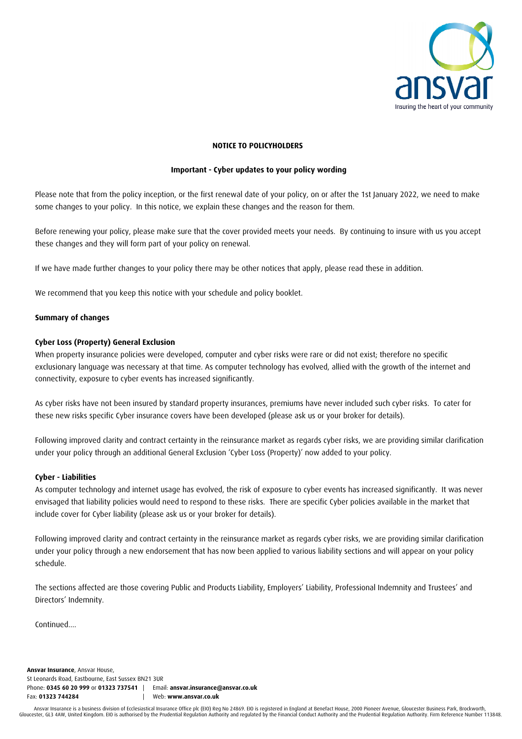

#### **NOTICE TO POLICYHOLDERS**

#### **Important - Cyber updates to your policy wording**

Please note that from the policy inception, or the first renewal date of your policy, on or after the 1st January 2022, we need to make some changes to your policy. In this notice, we explain these changes and the reason for them.

Before renewing your policy, please make sure that the cover provided meets your needs. By continuing to insure with us you accept these changes and they will form part of your policy on renewal.

If we have made further changes to your policy there may be other notices that apply, please read these in addition.

We recommend that you keep this notice with your schedule and policy booklet.

#### **Summary of changes**

#### **Cyber Loss (Property) General Exclusion**

When property insurance policies were developed, computer and cyber risks were rare or did not exist; therefore no specific exclusionary language was necessary at that time. As computer technology has evolved, allied with the growth of the internet and connectivity, exposure to cyber events has increased significantly.

As cyber risks have not been insured by standard property insurances, premiums have never included such cyber risks. To cater for these new risks specific Cyber insurance covers have been developed (please ask us or your broker for details).

Following improved clarity and contract certainty in the reinsurance market as regards cyber risks, we are providing similar clarification under your policy through an additional General Exclusion 'Cyber Loss (Property)' now added to your policy.

#### **Cyber - Liabilities**

As computer technology and internet usage has evolved, the risk of exposure to cyber events has increased significantly. It was never envisaged that liability policies would need to respond to these risks. There are specific Cyber policies available in the market that include cover for Cyber liability (please ask us or your broker for details).

Following improved clarity and contract certainty in the reinsurance market as regards cyber risks, we are providing similar clarification under your policy through a new endorsement that has now been applied to various liability sections and will appear on your policy schedule.

The sections affected are those covering Public and Products Liability, Employers' Liability, Professional Indemnity and Trustees' and Directors' Indemnity.

Continued....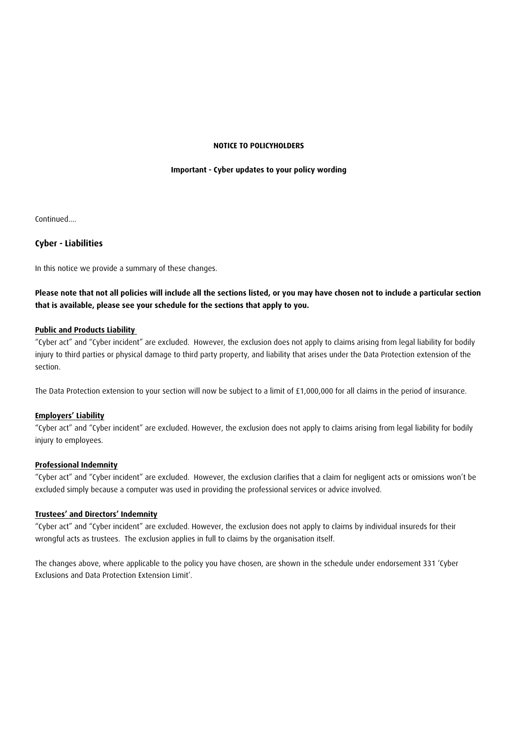#### **NOTICE TO POLICYHOLDERS**

#### **Important - Cyber updates to your policy wording**

Continued....

#### **Cyber - Liabilities**

In this notice we provide a summary of these changes.

## **Please note that not all policies will include all the sections listed, or you may have chosen not to include a particular section that is available, please see your schedule for the sections that apply to you.**

#### **Public and Products Liability**

"Cyber act" and "Cyber incident" are excluded. However, the exclusion does not apply to claims arising from legal liability for bodily injury to third parties or physical damage to third party property, and liability that arises under the Data Protection extension of the section.

The Data Protection extension to your section will now be subject to a limit of £1,000,000 for all claims in the period of insurance.

#### **Employers' Liability**

"Cyber act" and "Cyber incident" are excluded. However, the exclusion does not apply to claims arising from legal liability for bodily injury to employees.

#### **Professional Indemnity**

"Cyber act" and "Cyber incident" are excluded. However, the exclusion clarifies that a claim for negligent acts or omissions won't be excluded simply because a computer was used in providing the professional services or advice involved.

#### **Trustees' and Directors' Indemnity**

"Cyber act" and "Cyber incident" are excluded. However, the exclusion does not apply to claims by individual insureds for their wrongful acts as trustees. The exclusion applies in full to claims by the organisation itself.

The changes above, where applicable to the policy you have chosen, are shown in the schedule under endorsement 331 'Cyber Exclusions and Data Protection Extension Limit'.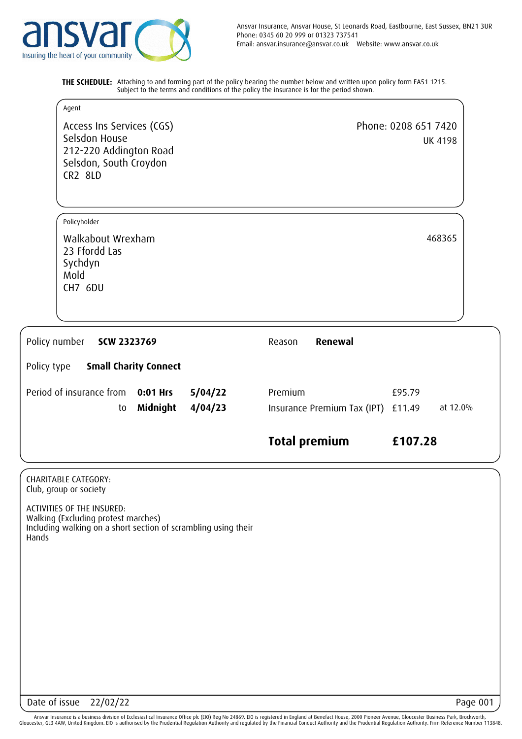

**THE SCHEDULE:** Attaching to and forming part of the policy bearing the number below and written upon policy form FA51 1215. Subject to the terms and conditions of the policy the insurance is for the period shown.

| Agent                                                                                                            |                    |                                               |                                        |
|------------------------------------------------------------------------------------------------------------------|--------------------|-----------------------------------------------|----------------------------------------|
| Access Ins Services (CGS)<br>Selsdon House<br>212-220 Addington Road<br>Selsdon, South Croydon<br><b>CR2 8LD</b> |                    |                                               | Phone: 0208 651 7420<br><b>UK 4198</b> |
| Policyholder                                                                                                     |                    |                                               |                                        |
| Walkabout Wrexham<br>23 Ffordd Las<br>Sychdyn<br>Mold<br>CH7 6DU                                                 |                    |                                               | 468365                                 |
| Policy number<br>SCW 2323769                                                                                     |                    | Renewal<br>Reason                             |                                        |
| <b>Small Charity Connect</b><br>Policy type                                                                      |                    |                                               |                                        |
| Period of insurance from<br>0:01 Hrs<br>Midnight<br>to                                                           | 5/04/22<br>4/04/23 | Premium<br>Insurance Premium Tax (IPT) £11.49 | £95.79<br>at 12.0%                     |
|                                                                                                                  |                    | <b>Total premium</b>                          | £107.28                                |

CHARITABLE CATEGORY: Club, group or society

ACTIVITIES OF THE INSURED: Walking (Excluding protest marches) Including walking on a short section of scrambling using their Hands

Date of issue 22/02/22 Page 001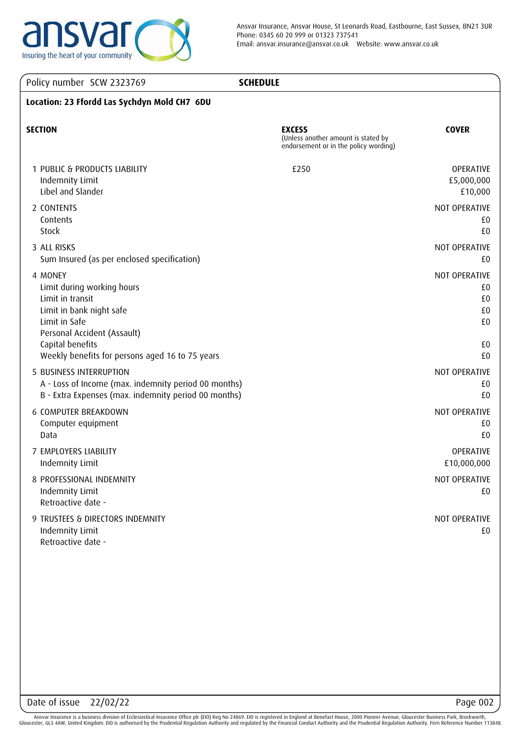

| Policy number SCW 2323769                                                                                                                                                                                    | <b>SCHEDULE</b>                                                                               |                                                   |
|--------------------------------------------------------------------------------------------------------------------------------------------------------------------------------------------------------------|-----------------------------------------------------------------------------------------------|---------------------------------------------------|
| Location: 23 Ffordd Las Sychdyn Mold CH7 6DU                                                                                                                                                                 |                                                                                               |                                                   |
| <b>SECTION</b>                                                                                                                                                                                               | <b>EXCESS</b><br>(Unless another amount is stated by<br>endorsement or in the policy wording) | <b>COVER</b>                                      |
| 1 PUBLIC & PRODUCTS LIABILITY<br>Indemnity Limit<br>Libel and Slander                                                                                                                                        | £250                                                                                          | OPERATIVE<br>£5,000,000<br>£10,000                |
| 2 CONTENTS<br>Contents<br>Stock                                                                                                                                                                              |                                                                                               | NOT OPERATIVE<br>£0<br>£0                         |
| 3 ALL RISKS<br>Sum Insured (as per enclosed specification)                                                                                                                                                   |                                                                                               | NOT OPERATIVE<br>£0                               |
| 4 MONEY<br>Limit during working hours<br>Limit in transit<br>Limit in bank night safe<br>Limit in Safe<br>Personal Accident (Assault)<br>Capital benefits<br>Weekly benefits for persons aged 16 to 75 years |                                                                                               | NOT OPERATIVE<br>£0<br>£0<br>£0<br>£0<br>£0<br>£0 |
| 5 BUSINESS INTERRUPTION<br>A - Loss of Income (max. indemnity period 00 months)<br>B - Extra Expenses (max. indemnity period 00 months)                                                                      |                                                                                               | NOT OPERATIVE<br>£0<br>£0                         |
| 6 COMPUTER BREAKDOWN<br>Computer equipment<br>Data                                                                                                                                                           |                                                                                               | NOT OPERATIVE<br>£0<br>£0                         |
| 7 EMPLOYERS LIABILITY<br>Indemnity Limit                                                                                                                                                                     |                                                                                               | OPERATIVE<br>£10,000,000                          |
| 8 PROFESSIONAL INDEMNITY<br>Indemnity Limit<br>Retroactive date -                                                                                                                                            |                                                                                               | NOT OPERATIVE<br>£0                               |
| 9 TRUSTEES & DIRECTORS INDEMNITY<br>Indemnity Limit<br>Retroactive date -                                                                                                                                    |                                                                                               | NOT OPERATIVE<br>£0                               |
|                                                                                                                                                                                                              |                                                                                               |                                                   |
|                                                                                                                                                                                                              |                                                                                               |                                                   |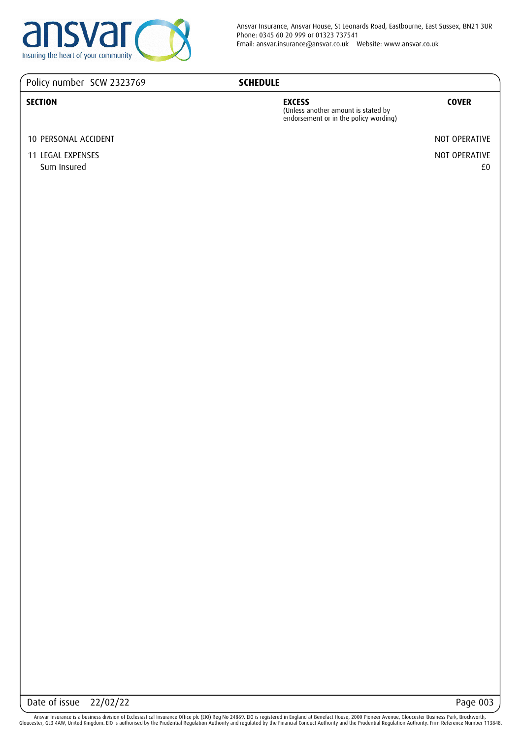

## Policy number SCW 2323769

## **SCHEDULE**

#### **SECTION EXCESS**

(Unless another amount is stated by endorsement or in the policy wording)

## **COVER**

10 PERSONAL ACCIDENT NOT OPERATIVE

11 LEGAL EXPENSES NOT OPERATIVE Sum Insured £0

Date of issue 22/02/22 Page 003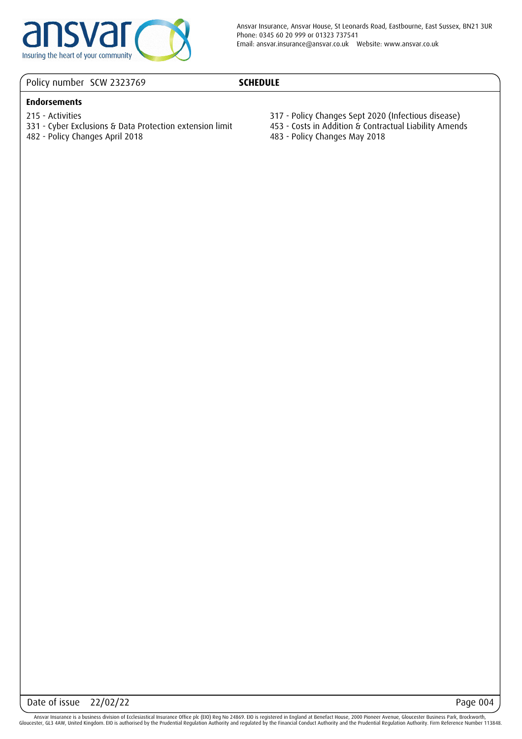

## Policy number SCW 2323769

## **SCHEDULE**

## **Endorsements**

- 215 Activities
- 331 Cyber Exclusions & Data Protection extension limit
- 482 Policy Changes April 2018
- 317 Policy Changes Sept 2020 (Infectious disease)
- 453 Costs in Addition & Contractual Liability Amends
- 483 Policy Changes May 2018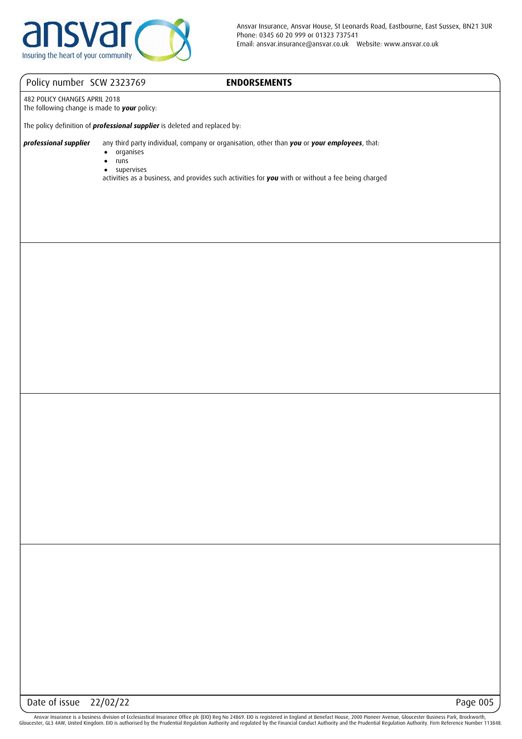

## **ENDORSEMENTS**

482 POLICY CHANGES APRIL 2018 The following change is made to *your* policy:

The policy definition of *professional supplier* is deleted and replaced by:

*professional supplier* any third party individual, company or organisation, other than *you* or *your employees*, that:

- organises ●
- runs  $\bullet$
- supervises ●

activities as a business, and provides such activities for *you* with or without a fee being charged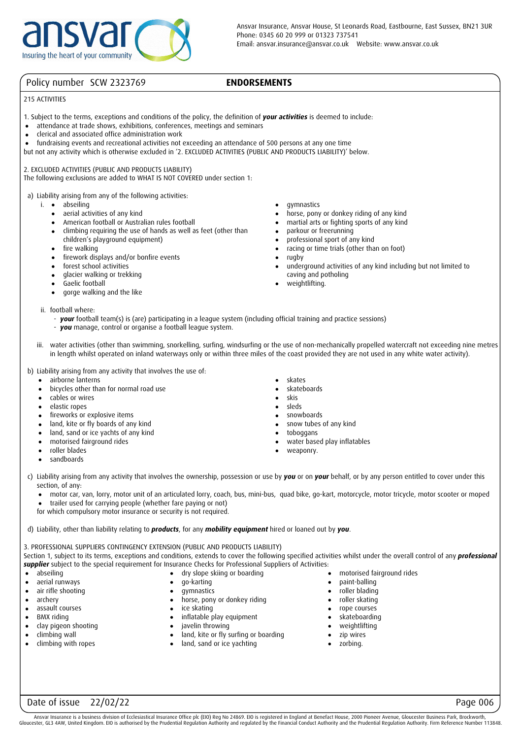## **ENDORSEMENTS**

#### 215 ACTIVITIES

- 1. Subject to the terms, exceptions and conditions of the policy, the definition of *your activities* is deemed to include:
- attendance at trade shows, exhibitions, conferences, meetings and seminars ●
- clerical and associated office administration work  $\bullet$
- fundraising events and recreational activities not exceeding an attendance of 500 persons at any one time ●
- but not any activity which is otherwise excluded in '2. EXCLUDED ACTIVITIES (PUBLIC AND PRODUCTS LIABILITY)' below.

2. EXCLUDED ACTIVITIES (PUBLIC AND PRODUCTS LIABILITY)

The following exclusions are added to WHAT IS NOT COVERED under section 1:

a) Liability arising from any of the following activities:

- i. abseiling
	- aerial activities of any kind ●
	- American football or Australian rules football ●
	- climbing requiring the use of hands as well as feet (other than children's playground equipment)
	- fire walking
	- firework displays and/or bonfire events ●
	- forest school activities ●
	- glacier walking or trekking  $\bullet$
	- Gaelic football ●
	- gorge walking and the like ●
- 
- 
- ii. football where:
	- *your* football team(s) is (are) participating in a league system (including official training and practice sessions)
	- *you* manage, control or organise a football league system.
- iii. water activities (other than swimming, snorkelling, surfing, windsurfing or the use of non-mechanically propelled watercraft not exceeding nine metres in length whilst operated on inland waterways only or within three miles of the coast provided they are not used in any white water activity).
- b) Liability arising from any activity that involves the use of:
	- airborne lanterns  $\bullet$
	- bicycles other than for normal road use ●
	- cables or wires ●
	- elastic ropes ●
	- fireworks or explosive items ●
	- land, kite or fly boards of any kind ●
	- land, sand or ice yachts of any kind ●
	- motorised fairground rides ●
	- roller blades ●
	- sandboards ●
- skates ●
- skateboards ●

gymnastics

● ● ●  $\bullet$ ● ●  $\bullet$ ●

●

rugby

parkour or freerunning professional sport of any kind racing or time trials (other than on foot)

caving and potholing weightlifting.

horse, pony or donkey riding of any kind martial arts or fighting sports of any kind

underground activities of any kind including but not limited to

- skis ●
- sleds ●
- snowboards snow tubes of any kind ● ●
- toboggans  $\bullet$
- water based play inflatables ●
- weaponry. ●

- 
- c) Liability arising from any activity that involves the ownership, possession or use by *you* or on *your* behalf, or by any person entitled to cover under this section, of any:
	- motor car, van, lorry, motor unit of an articulated lorry, coach, bus, mini-bus, quad bike, go-kart, motorcycle, motor tricycle, motor scooter or moped ●
	- trailer used for carrying people (whether fare paying or not) ●
	- for which compulsory motor insurance or security is not required.

d) Liability, other than liability relating to *products*, for any *mobility equipment* hired or loaned out by *you*.

3. PROFESSIONAL SUPPLIERS CONTINGENCY EXTENSION (PUBLIC AND PRODUCTS LIABILITY)

Section 1, subject to its terms, exceptions and conditions, extends to cover the following specified activities whilst under the overall control of any *professional supplier* subject to the special requirement for Insurance Checks for Professional Suppliers of Activities:

- abseiling ●
- aerial runways ●
- air rifle shooting ●
- archery ●
- assault courses ●
- BMX riding  $\bullet$
- clay pigeon shooting ●
- climbing wall ●
- climbing with ropes ●
- dry slope skiing or boarding ●
- go-karting  $\bullet$
- horse, pony or donkey riding  $\bullet$
- ice skating ●
- inflatable play equipment  $\bullet$
- javelin throwing  $\bullet$
- land, kite or fly surfing or boarding  $\bullet$
- land, sand or ice yachting ●
- motorised fairground rides
- paint-balling ●

●

- roller blading roller skating  $\bullet$  $\bullet$
- rope courses
- skateboarding ● ●
- weightlifting ●
- zip wires  $\bullet$
- zorbing.
- ●

Ansvar Insurance is a business division of Ecclesiastical Insurance Office plc (EIO) Reg No 24869. EIO is registered in England at Benefact House, 2000 Pioneer Avenue, Gloucester Business Park, Brockworth Gloucester, GL3 4AW, United Kingdom. EIO is authorised by the Prudential Regulation Authority and regulated by the Financial Conduct Authority and the Prudential Regulation Authority. Firm Reference Number 113848.

gymnastics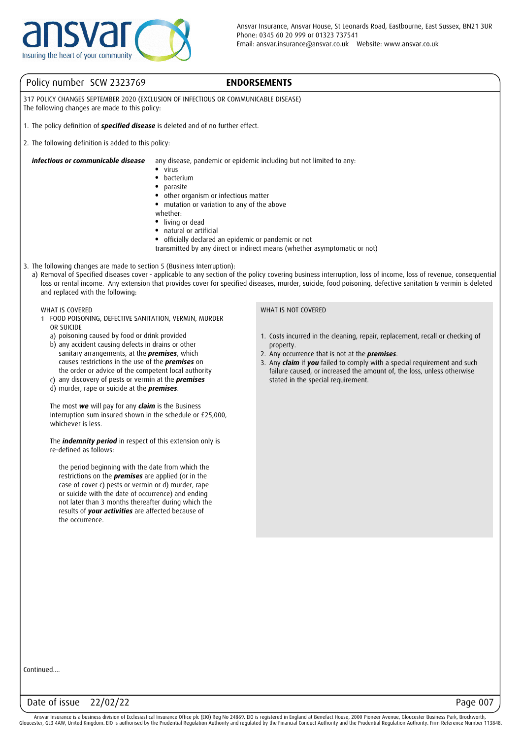

## **ENDORSEMENTS**

317 POLICY CHANGES SEPTEMBER 2020 (EXCLUSION OF INFECTIOUS OR COMMUNICABLE DISEASE) The following changes are made to this policy:

- 1. The policy definition of *specified disease* is deleted and of no further effect.
- 2. The following definition is added to this policy:

*infectious or communicable disease* any disease, pandemic or epidemic including but not limited to any:

- virus ●
- bacterium ●
- parasite
- other organism or infectious matter
- mutation or variation to any of the above
- whether:
- living or dead ●
- natural or artificial ●
- officially declared an epidemic or pandemic or not
- transmitted by any direct or indirect means (whether asymptomatic or not)
- 3. The following changes are made to section 5 (Business Interruption):
	- a) Removal of Specified diseases cover applicable to any section of the policy covering business interruption, loss of income, loss of revenue, consequential loss or rental income. Any extension that provides cover for specified diseases, murder, suicide, food poisoning, defective sanitation & vermin is deleted and replaced with the following:

#### WHAT IS COVERED

- 1 FOOD POISONING, DEFECTIVE SANITATION, VERMIN, MURDER OR SUICIDE
	- a) poisoning caused by food or drink provided
	- b) any accident causing defects in drains or other sanitary arrangements, at the *premises*, which causes restrictions in the use of the *premises* on the order or advice of the competent local authority
	- c) any discovery of pests or vermin at the *premises*
	- d) murder, rape or suicide at the *premises*.

The most *we* will pay for any *claim* is the Business Interruption sum insured shown in the schedule or £25,000, whichever is less.

The *indemnity period* in respect of this extension only is re-defined as follows:

the period beginning with the date from which the restrictions on the *premises* are applied (or in the case of cover c) pests or vermin or d) murder, rape or suicide with the date of occurrence) and ending not later than 3 months thereafter during which the results of *your activities* are affected because of the occurrence.

#### WHAT IS NOT COVERED

- 1. Costs incurred in the cleaning, repair, replacement, recall or checking of property.
- 2. Any occurrence that is not at the *premises*.
- 3. Any *claim* if *you* failed to comply with a special requirement and such failure caused, or increased the amount of, the loss, unless otherwise stated in the special requirement.

Continued....

#### Date of issue 22/02/22 Page 007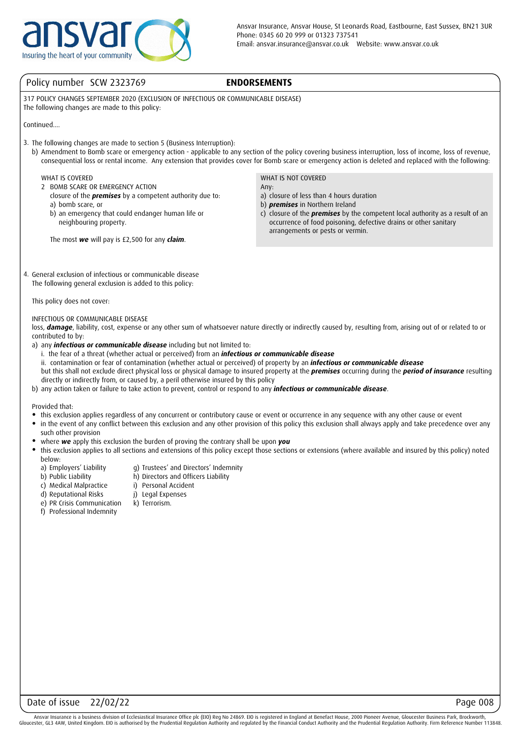

## **ENDORSEMENTS**

317 POLICY CHANGES SEPTEMBER 2020 (EXCLUSION OF INFECTIOUS OR COMMUNICABLE DISEASE) The following changes are made to this policy:

Continued....

- 3. The following changes are made to section 5 (Business Interruption):
	- b) Amendment to Bomb scare or emergency action applicable to any section of the policy covering business interruption, loss of income, loss of revenue, consequential loss or rental income. Any extension that provides cover for Bomb scare or emergency action is deleted and replaced with the following:

#### WHAT IS COVERED

- 2 BOMB SCARE OR EMERGENCY ACTION
	- closure of the *premises* by a competent authority due to: a) bomb scare, or
	- b) an emergency that could endanger human life or neighbouring property.

The most *we* will pay is £2,500 for any *claim*.

WHAT IS NOT COVERED Any:

a) closure of less than 4 hours duration

- b) *premises* in Northern Ireland
- c) closure of the *premises* by the competent local authority as a result of an occurrence of food poisoning, defective drains or other sanitary arrangements or pests or vermin.
- 4. General exclusion of infectious or communicable disease The following general exclusion is added to this policy:

This policy does not cover:

#### INFECTIOUS OR COMMUNICABLE DISEASE

loss, **damage**, liability, cost, expense or any other sum of whatsoever nature directly or indirectly caused by, resulting from, arising out of or related to or contributed to by:

- a) any *infectious or communicable disease* including but not limited to:
- i. the fear of a threat (whether actual or perceived) from an *infectious or communicable disease*
- ii. contamination or fear of contamination (whether actual or perceived) of property by an *infectious or communicable disease* but this shall not exclude direct physical loss or physical damage to insured property at the *premises* occurring during the *period of insurance* resulting directly or indirectly from, or caused by, a peril otherwise insured by this policy
- b) any action taken or failure to take action to prevent, control or respond to any *infectious or communicable disease*.

Provided that:

- this exclusion applies regardless of any concurrent or contributory cause or event or occurrence in any sequence with any other cause or event
- $\bullet$ in the event of any conflict between this exclusion and any other provision of this policy this exclusion shall always apply and take precedence over any such other provision
- where *we* apply this exclusion the burden of proving the contrary shall be upon *you*
- this exclusion applies to all sections and extensions of this policy except those sections or extensions (where available and insured by this policy) noted below:
	- a) Employers' Liability

b) Public Liability

- g) Trustees' and Directors' Indemnity h) Directors and Officers Liability
- i) Personal Accident
- c) Medical Malpractice
- d) Reputational Risks j) Legal Expenses k) Terrorism.
- e) PR Crisis Communication f) Professional Indemnity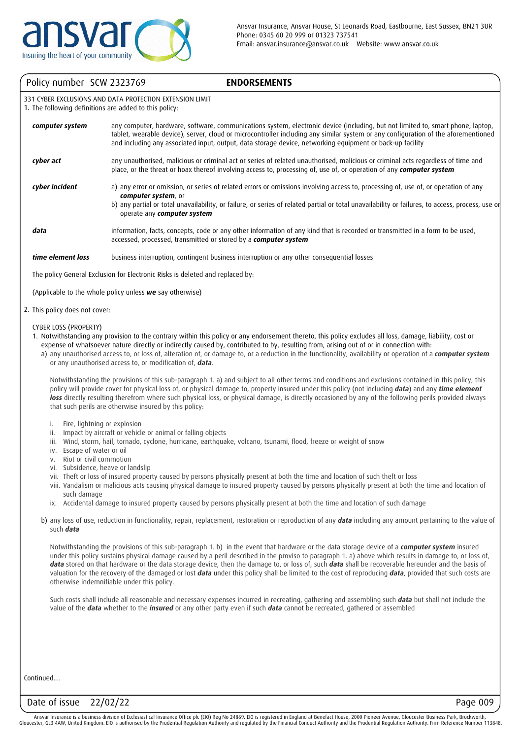## **ENDORSEMENTS**

331 CYBER EXCLUSIONS AND DATA PROTECTION EXTENSION LIMIT

1. The following definitions are added to this policy:

| computer system   | any computer, hardware, software, communications system, electronic device (including, but not limited to, smart phone, laptop,<br>tablet, wearable device), server, cloud or microcontroller including any similar system or any configuration of the aforementioned<br>and including any associated input, output, data storage device, networking equipment or back-up facility |
|-------------------|------------------------------------------------------------------------------------------------------------------------------------------------------------------------------------------------------------------------------------------------------------------------------------------------------------------------------------------------------------------------------------|
| cyber act         | any unauthorised, malicious or criminal act or series of related unauthorised, malicious or criminal acts regardless of time and<br>place, or the threat or hoax thereof involving access to, processing of, use of, or operation of any computer system                                                                                                                           |
| cyber incident    | a) any error or omission, or series of related errors or omissions involving access to, processing of, use of, or operation of any<br>computer system, or<br>b) any partial or total unavailability, or failure, or series of related partial or total unavailability or failures, to access, process, use or<br>operate any computer system                                       |
| data              | information, facts, concepts, code or any other information of any kind that is recorded or transmitted in a form to be used,<br>accessed, processed, transmitted or stored by a computer system                                                                                                                                                                                   |
| time element loss | business interruption, contingent business interruption or any other consequential losses                                                                                                                                                                                                                                                                                          |

The policy General Exclusion for Electronic Risks is deleted and replaced by:

(Applicable to the whole policy unless *we* say otherwise)

2. This policy does not cover:

CYBER LOSS (PROPERTY)

- 1. Notwithstanding any provision to the contrary within this policy or any endorsement thereto, this policy excludes all loss, damage, liability, cost or expense of whatsoever nature directly or indirectly caused by, contributed to by, resulting from, arising out of or in connection with:
	- a) any unauthorised access to, or loss of, alteration of, or damage to, or a reduction in the functionality, availability or operation of a **computer system** or any unauthorised access to, or modification of, *data*.

Notwithstanding the provisions of this sub-paragraph 1. a) and subject to all other terms and conditions and exclusions contained in this policy, this policy will provide cover for physical loss of, or physical damage to, property insured under this policy (not including *data*) and any *time element loss* directly resulting therefrom where such physical loss, or physical damage, is directly occasioned by any of the following perils provided always that such perils are otherwise insured by this policy:

- i. Fire, lightning or explosion
- ii. Impact by aircraft or vehicle or animal or falling objects
- iii. Wind, storm, hail, tornado, cyclone, hurricane, earthquake, volcano, tsunami, flood, freeze or weight of snow
- iv. Escape of water or oil
- v. Riot or civil commotion
- vi. Subsidence, heave or landslip
- vii. Theft or loss of insured property caused by persons physically present at both the time and location of such theft or loss
- viii. Vandalism or malicious acts causing physical damage to insured property caused by persons physically present at both the time and location of such damage
- ix. Accidental damage to insured property caused by persons physically present at both the time and location of such damage
- b) any loss of use, reduction in functionality, repair, replacement, restoration or reproduction of any *data* including any amount pertaining to the value of such *data*

Notwithstanding the provisions of this sub-paragraph 1. b) in the event that hardware or the data storage device of a *computer system* insured under this policy sustains physical damage caused by a peril described in the proviso to paragraph 1. a) above which results in damage to, or loss of, *data* stored on that hardware or the data storage device, then the damage to, or loss of, such *data* shall be recoverable hereunder and the basis of valuation for the recovery of the damaged or lost *data* under this policy shall be limited to the cost of reproducing *data*, provided that such costs are otherwise indemnifiable under this policy.

Such costs shall include all reasonable and necessary expenses incurred in recreating, gathering and assembling such *data* but shall not include the value of the *data* whether to the *insured* or any other party even if such *data* cannot be recreated, gathered or assembled

Continued....

## Date of issue 22/02/22 Page 009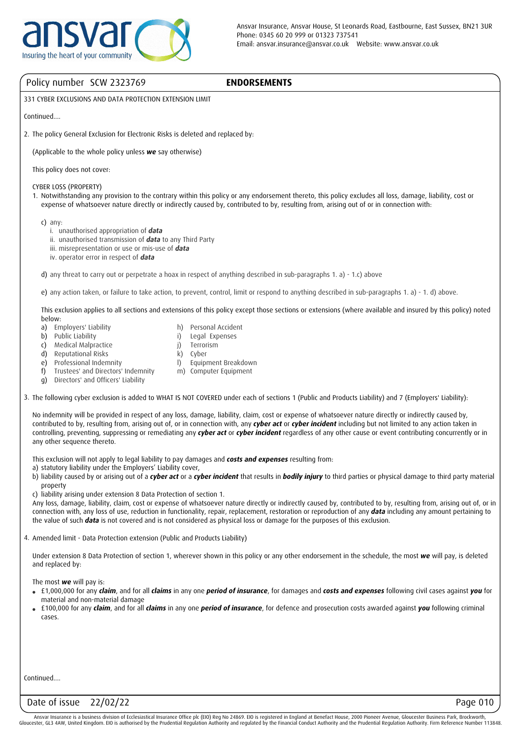## **ENDORSEMENTS**

331 CYBER EXCLUSIONS AND DATA PROTECTION EXTENSION LIMIT

Continued....

2. The policy General Exclusion for Electronic Risks is deleted and replaced by:

(Applicable to the whole policy unless *we* say otherwise)

This policy does not cover:

CYBER LOSS (PROPERTY)

1. Notwithstanding any provision to the contrary within this policy or any endorsement thereto, this policy excludes all loss, damage, liability, cost or expense of whatsoever nature directly or indirectly caused by, contributed to by, resulting from, arising out of or in connection with:

c) any:

- i. unauthorised appropriation of *data*
- ii. unauthorised transmission of *data* to any Third Party
- iii. misrepresentation or use or mis-use of *data*
- iv. operator error in respect of *data*

d) any threat to carry out or perpetrate a hoax in respect of anything described in sub-paragraphs 1. a) - 1.c) above

e) any action taken, or failure to take action, to prevent, control, limit or respond to anything described in sub-paragraphs 1. a) - 1. d) above.

This exclusion applies to all sections and extensions of this policy except those sections or extensions (where available and insured by this policy) noted below:

- a) Employers' Liability
- b) Public Liability
- c) Medical Malpractice
- d) Reputational Risks
- e) Professional Indemnity
- $\mathbb{D}$ m) Computer Equipment Equipment Breakdown

h) Personal Accident

Legal Expenses Terrorism Cyber

f) g) Directors' and Officers' Liability Trustees' and Directors' Indemnity

3. The following cyber exclusion is added to WHAT IS NOT COVERED under each of sections 1 (Public and Products Liability) and 7 (Employers' Liability):

No indemnity will be provided in respect of any loss, damage, liability, claim, cost or expense of whatsoever nature directly or indirectly caused by, contributed to by, resulting from, arising out of, or in connection with, any *cyber act* or *cyber incident* including but not limited to any action taken in controlling, preventing, suppressing or remediating any *cyber act* or *cyber incident* regardless of any other cause or event contributing concurrently or in any other sequence thereto.

This exclusion will not apply to legal liability to pay damages and *costs and expenses* resulting from:

i) j) k)

- a) statutory liability under the Employers' Liability cover,
- b) liability caused by or arising out of a *cyber act* or a *cyber incident* that results in *bodily injury* to third parties or physical damage to third party material property

c) liability arising under extension 8 Data Protection of section 1.

Any loss, damage, liability, claim, cost or expense of whatsoever nature directly or indirectly caused by, contributed to by, resulting from, arising out of, or in connection with, any loss of use, reduction in functionality, repair, replacement, restoration or reproduction of any *data* including any amount pertaining to the value of such *data* is not covered and is not considered as physical loss or damage for the purposes of this exclusion.

4. Amended limit - Data Protection extension (Public and Products Liability)

Under extension 8 Data Protection of section 1, wherever shown in this policy or any other endorsement in the schedule, the most *we* will pay, is deleted and replaced by:

The most *we* will pay is:

- £1,000,000 for any *claim*, and for all *claims* in any one *period of insurance*, for damages and *costs and expenses* following civil cases against *you* for material and non-material damage
- £100,000 for any *claim*, and for all *claims* in any one *period of insurance*, for defence and prosecution costs awarded against *you* following criminal cases.

Continued....

## Date of issue 22/02/22 Page 010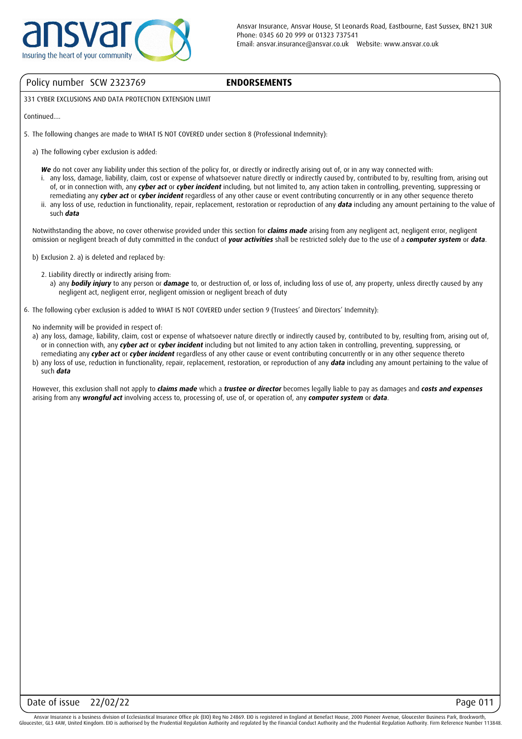

#### **ENDORSEMENTS**

331 CYBER EXCLUSIONS AND DATA PROTECTION EXTENSION LIMIT

Continued....

- 5. The following changes are made to WHAT IS NOT COVERED under section 8 (Professional Indemnity):
	- a) The following cyber exclusion is added:
		- We do not cover any liability under this section of the policy for, or directly or indirectly arising out of, or in any way connected with: i. any loss, damage, liability, claim, cost or expense of whatsoever nature directly or indirectly caused by, contributed to by, resulting from, arising out
		- ii. any loss of use, reduction in functionality, repair, replacement, restoration or reproduction of any *data* including any amount pertaining to the value of of, or in connection with, any *cyber act* or *cyber incident* including, but not limited to, any action taken in controlling, preventing, suppressing or remediating any *cyber act* or *cyber incident* regardless of any other cause or event contributing concurrently or in any other sequence thereto
		- such *data*

Notwithstanding the above, no cover otherwise provided under this section for *claims made* arising from any negligent act, negligent error, negligent omission or negligent breach of duty committed in the conduct of *your activities* shall be restricted solely due to the use of a *computer system* or *data*.

- b) Exclusion 2. a) is deleted and replaced by:
	- 2. Liability directly or indirectly arising from:

a) any *bodily injury* to any person or *damage* to, or destruction of, or loss of, including loss of use of, any property, unless directly caused by any negligent act, negligent error, negligent omission or negligent breach of duty

6. The following cyber exclusion is added to WHAT IS NOT COVERED under section 9 (Trustees' and Directors' Indemnity):

No indemnity will be provided in respect of:

- a) any loss, damage, liability, claim, cost or expense of whatsoever nature directly or indirectly caused by, contributed to by, resulting from, arising out of, or in connection with, any *cyber act* or *cyber incident* including but not limited to any action taken in controlling, preventing, suppressing, or remediating any *cyber act* or *cyber incident* regardless of any other cause or event contributing concurrently or in any other sequence thereto
- b) any loss of use, reduction in functionality, repair, replacement, restoration, or reproduction of any *data* including any amount pertaining to the value of such *data*

However, this exclusion shall not apply to *claims made* which a *trustee or director* becomes legally liable to pay as damages and *costs and expenses* arising from any *wrongful act* involving access to, processing of, use of, or operation of, any *computer system* or *data*.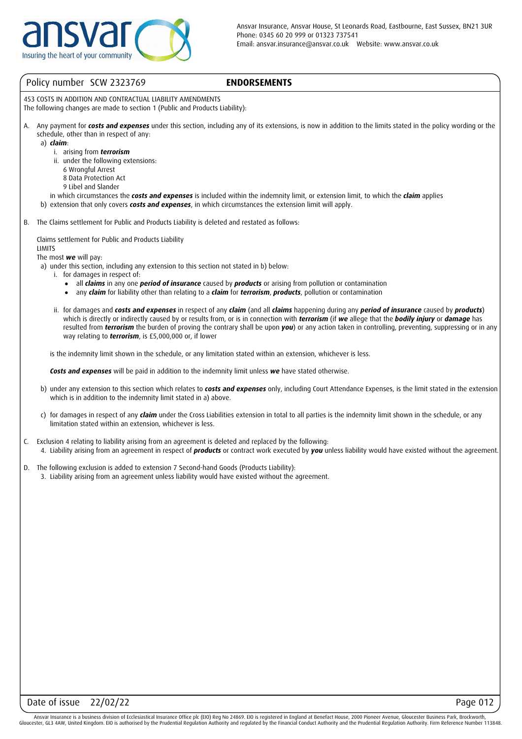

#### **ENDORSEMENTS**

453 COSTS IN ADDITION AND CONTRACTUAL LIABILITY AMENDMENTS The following changes are made to section 1 (Public and Products Liability):

A. Any payment for *costs and expenses* under this section, including any of its extensions, is now in addition to the limits stated in the policy wording or the schedule, other than in respect of any:

a) *claim*:

- i. arising from *terrorism*
- ii. under the following extensions:
	- 6 Wrongful Arrest
	- 8 Data Protection Act
	- 9 Libel and Slander
- in which circumstances the *costs and expenses* is included within the indemnity limit, or extension limit, to which the *claim* applies
- b) extension that only covers *costs and expenses*, in which circumstances the extension limit will apply.
- B. The Claims settlement for Public and Products Liability is deleted and restated as follows:

Claims settlement for Public and Products Liability LIMITS

#### The most *we* will pay:

a) under this section, including any extension to this section not stated in b) below:

- i. for damages in respect of:
	- all *claims* in any one *period of insurance* caused by *products* or arising from pollution or contamination ●
	- any *claim* for liability other than relating to a *claim* for *terrorism*, *products*, pollution or contamination ●
- ii. for damages and *costs and expenses* in respect of any *claim* (and all *claims* happening during any *period of insurance* caused by *products*) which is directly or indirectly caused by or results from, or is in connection with *terrorism* (if *we* allege that the *bodily injury* or *damage* has resulted from *terrorism* the burden of proving the contrary shall be upon *you*) or any action taken in controlling, preventing, suppressing or in any way relating to *terrorism*, is £5,000,000 or, if lower

is the indemnity limit shown in the schedule, or any limitation stated within an extension, whichever is less.

*Costs and expenses* will be paid in addition to the indemnity limit unless *we* have stated otherwise.

- b) under any extension to this section which relates to *costs and expenses* only, including Court Attendance Expenses, is the limit stated in the extension which is in addition to the indemnity limit stated in a) above.
- c) for damages in respect of any *claim* under the Cross Liabilities extension in total to all parties is the indemnity limit shown in the schedule, or any limitation stated within an extension, whichever is less.
- C. Exclusion 4 relating to liability arising from an agreement is deleted and replaced by the following:
	- 4. Liability arising from an agreement in respect of *products* or contract work executed by *you* unless liability would have existed without the agreement.
- D. The following exclusion is added to extension 7 Second-hand Goods (Products Liability):
	- 3. Liability arising from an agreement unless liability would have existed without the agreement.

Ansvar Insurance is a business division of Ecclesiastical Insurance Office plc (EIO) Reg No 24869. EIO is registered in England at Benefact House, 2000 Pioneer Avenue, Gloucester Business Park, Brockworth Gloucester, GL3 4AW, United Kingdom. EIO is authorised by the Prudential Regulation Authority and regulated by the Financial Conduct Authority and the Prudential Regulation Authority. Firm Reference Number 113848.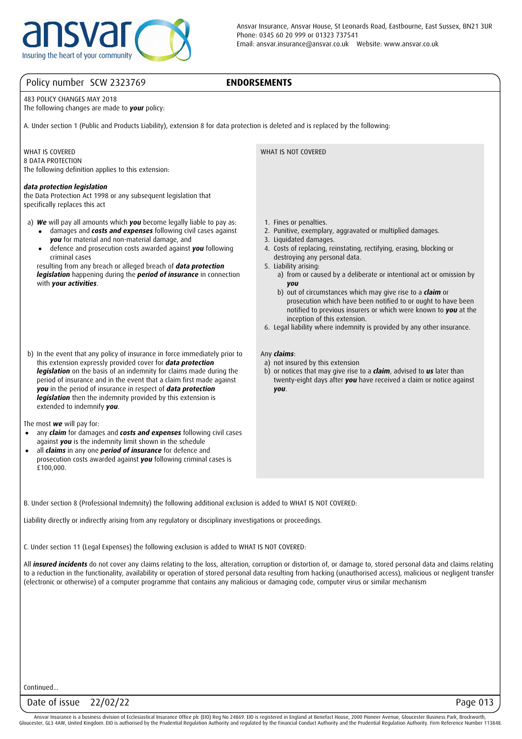

## **ENDORSEMENTS**

483 POLICY CHANGES MAY 2018

The following changes are made to *your* policy:

A. Under section 1 (Public and Products Liability), extension 8 for data protection is deleted and is replaced by the following:

#### WHAT IS COVERED

8 DATA PROTECTION The following definition applies to this extension:

#### *data protection legislation*

the Data Protection Act 1998 or any subsequent legislation that specifically replaces this act

a) *We* will pay all amounts which *you* become legally liable to pay as:

- damages and *costs and expenses* following civil cases against *you* for material and non-material damage, and ●
- defence and prosecution costs awarded against *you* following criminal cases ●

resulting from any breach or alleged breach of *data protection legislation* happening during the *period of insurance* in connection with *your activities*.

 b) In the event that any policy of insurance in force immediately prior to this extension expressly provided cover for *data protection legislation* on the basis of an indemnity for claims made during the period of insurance and in the event that a claim first made against *you* in the period of insurance in respect of *data protection legislation* then the indemnity provided by this extension is extended to indemnify *you*.

The most *we* will pay for:

- any *claim* for damages and *costs and expenses* following civil cases against *you* is the indemnity limit shown in the schedule ●
- all *claims* in any one *period of insurance* for defence and prosecution costs awarded against *you* following criminal cases is £100,000. ●

WHAT IS NOT COVERED

- 1. Fines or penalties.
- 2. Punitive, exemplary, aggravated or multiplied damages.
- 3. Liquidated damages.
- 4. Costs of replacing, reinstating, rectifying, erasing, blocking or destroying any personal data.
- 5. Liability arising:
	- a) from or caused by a deliberate or intentional act or omission by *you*
	- b) out of circumstances which may give rise to a *claim* or prosecution which have been notified to or ought to have been notified to previous insurers or which were known to *you* at the inception of this extension.
- 6. Legal liability where indemnity is provided by any other insurance.

#### Any *claims*:

- a) not insured by this extension
- b) or notices that may give rise to a *claim*, advised to *us* later than twenty-eight days after *you* have received a claim or notice against *you*.

B. Under section 8 (Professional Indemnity) the following additional exclusion is added to WHAT IS NOT COVERED:

Liability directly or indirectly arising from any regulatory or disciplinary investigations or proceedings.

C. Under section 11 (Legal Expenses) the following exclusion is added to WHAT IS NOT COVERED:

All *insured incidents* do not cover any claims relating to the loss, alteration, corruption or distortion of, or damage to, stored personal data and claims relating to a reduction in the functionality, availability or operation of stored personal data resulting from hacking (unauthorised access), malicious or negligent transfer (electronic or otherwise) of a computer programme that contains any malicious or damaging code, computer virus or similar mechanism

Continued...

## Date of issue 22/02/22 Page 013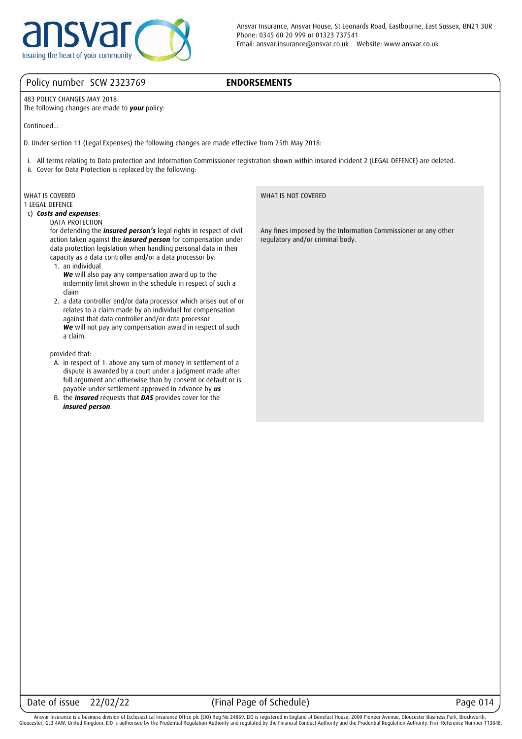

## **ENDORSEMENTS**

483 POLICY CHANGES MAY 2018

The following changes are made to *your* policy:

Continued...

D. Under section 11 (Legal Expenses) the following changes are made effective from 25th May 2018:

i. All terms relating to Data protection and Information Commissioner registration shown within insured incident 2 (LEGAL DEFENCE) are deleted.

ii. Cover for Data Protection is replaced by the following:

# WHAT IS COVERED

1 LEGAL DEFENCE

 c) *Costs and expenses*: DATA PROTECTION

for defending the *insured person's* legal rights in respect of civil action taken against the *insured person* for compensation under data protection legislation when handling personal data in their capacity as a data controller and/or a data processor by:

1. an individual

*We* will also pay any compensation award up to the indemnity limit shown in the schedule in respect of such a claim

 2. a data controller and/or data processor which arises out of or relates to a claim made by an individual for compensation against that data controller and/or data processor *We* will not pay any compensation award in respect of such a claim.

provided that:

- A. in respect of 1. above any sum of money in settlement of a dispute is awarded by a court under a judgment made after full argument and otherwise than by consent or default or is payable under settlement approved in advance by *us*
- B. the *insured* requests that *DAS* provides cover for the *insured person*.

WHAT IS NOT COVERED

Any fines imposed by the Information Commissioner or any other regulatory and/or criminal body.

## Date of issue 22/02/22 (Final Page of Schedule) Page 014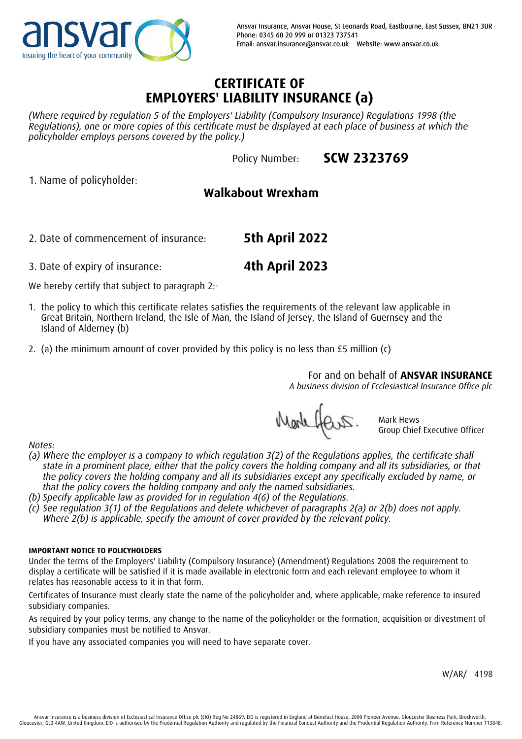

# **CERTIFICATE OF EMPLOYERS' LIABILITY INSURANCE (a)**

*(Where required by regulation 5 of the Employers' Liability (Compulsory Insurance) Regulations 1998 (the Regulations), one or more copies of this certificate must be displayed at each place of business at which the policyholder employs persons covered by the policy.)*

Policy Number:

**SCW 2323769**

1. Name of policyholder:

# **Walkabout Wrexham**

2. Date of commencement of insurance: **5th April 2022**

3. Date of expiry of insurance: **4th April 2023**

We hereby certify that subject to paragraph 2:-

- 1. the policy to which this certificate relates satisfies the requirements of the relevant law applicable in Great Britain, Northern Ireland, the Isle of Man, the Island of Jersey, the Island of Guernsey and the Island of Alderney (b)
- 2. (a) the minimum amount of cover provided by this policy is no less than £5 million (c)

For and on behalf of **ANSVAR INSURANCE**

*A business division of Ecclesiastical Insurance Office plc*

Markhars.

Mark Hews Group Chief Executive Officer

*Notes:*

- *(a) Where the employer is a company to which regulation 3(2) of the Regulations applies, the certificate shall state in a prominent place, either that the policy covers the holding company and all its subsidiaries, or that the policy covers the holding company and all its subsidiaries except any specifically excluded by name, or that the policy covers the holding company and only the named subsidiaries.*
- *(b) Specify applicable law as provided for in regulation 4(6) of the Regulations.*
- *(c) See regulation 3(1) of the Regulations and delete whichever of paragraphs 2(a) or 2(b) does not apply. Where 2(b) is applicable, specify the amount of cover provided by the relevant policy.*

## **IMPORTANT NOTICE TO POLICYHOLDERS**

Under the terms of the Employers' Liability (Compulsory Insurance) (Amendment) Regulations 2008 the requirement to display a certificate will be satisfied if it is made available in electronic form and each relevant employee to whom it relates has reasonable access to it in that form.

Certificates of Insurance must clearly state the name of the policyholder and, where applicable, make reference to insured subsidiary companies.

As required by your policy terms, any change to the name of the policyholder or the formation, acquisition or divestment of subsidiary companies must be notified to Ansvar.

If you have any associated companies you will need to have separate cover.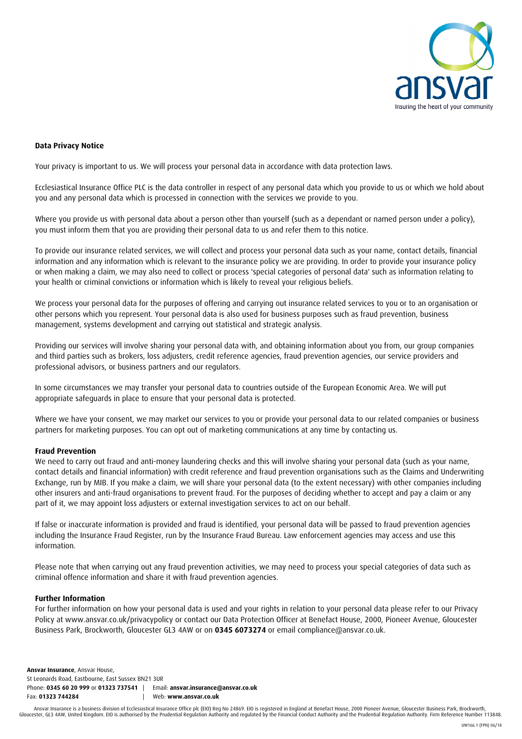

#### **Data Privacy Notice**

Your privacy is important to us. We will process your personal data in accordance with data protection laws.

Ecclesiastical Insurance Office PLC is the data controller in respect of any personal data which you provide to us or which we hold about you and any personal data which is processed in connection with the services we provide to you.

Where you provide us with personal data about a person other than yourself (such as a dependant or named person under a policy), you must inform them that you are providing their personal data to us and refer them to this notice.

To provide our insurance related services, we will collect and process your personal data such as your name, contact details, financial information and any information which is relevant to the insurance policy we are providing. In order to provide your insurance policy or when making a claim, we may also need to collect or process 'special categories of personal data' such as information relating to your health or criminal convictions or information which is likely to reveal your religious beliefs.

We process your personal data for the purposes of offering and carrying out insurance related services to you or to an organisation or other persons which you represent. Your personal data is also used for business purposes such as fraud prevention, business management, systems development and carrying out statistical and strategic analysis.

Providing our services will involve sharing your personal data with, and obtaining information about you from, our group companies and third parties such as brokers, loss adjusters, credit reference agencies, fraud prevention agencies, our service providers and professional advisors, or business partners and our regulators.

In some circumstances we may transfer your personal data to countries outside of the European Economic Area. We will put appropriate safeguards in place to ensure that your personal data is protected.

Where we have your consent, we may market our services to you or provide your personal data to our related companies or business partners for marketing purposes. You can opt out of marketing communications at any time by contacting us.

#### **Fraud Prevention**

We need to carry out fraud and anti-money laundering checks and this will involve sharing your personal data (such as your name, contact details and financial information) with credit reference and fraud prevention organisations such as the Claims and Underwriting Exchange, run by MIB. If you make a claim, we will share your personal data (to the extent necessary) with other companies including other insurers and anti-fraud organisations to prevent fraud. For the purposes of deciding whether to accept and pay a claim or any part of it, we may appoint loss adjusters or external investigation services to act on our behalf.

If false or inaccurate information is provided and fraud is identified, your personal data will be passed to fraud prevention agencies including the Insurance Fraud Register, run by the Insurance Fraud Bureau. Law enforcement agencies may access and use this information.

Please note that when carrying out any fraud prevention activities, we may need to process your special categories of data such as criminal offence information and share it with fraud prevention agencies.

#### **Further Information**

For further information on how your personal data is used and your rights in relation to your personal data please refer to our Privacy Policy at www.ansvar.co.uk/privacypolicy or contact our Data Protection Officer at Benefact House, 2000, Pioneer Avenue, Gloucester Business Park, Brockworth, Gloucester GL3 4AW or on **0345 6073274** or email compliance@ansvar.co.uk.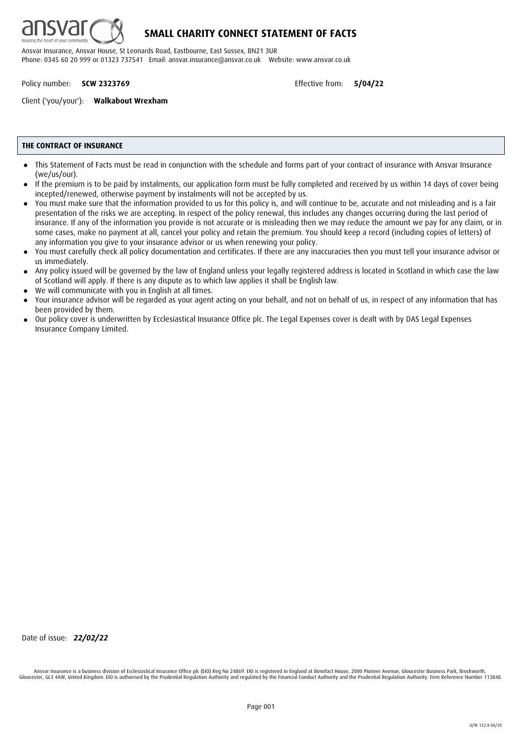

Policy number: **SCW 2323769 Effective from: 5/04/22** 

Client ('you/your'): **Walkabout Wrexham**

#### **THE CONTRACT OF INSURANCE**

- This Statement of Facts must be read in conjunction with the schedule and forms part of your contract of insurance with Ansvar Insurance (we/us/our). ●
- If the premium is to be paid by instalments, our application form must be fully completed and received by us within 14 days of cover being incepted/renewed, otherwise payment by instalments will not be accepted by us. ●
- You must make sure that the information provided to us for this policy is, and will continue to be, accurate and not misleading and is a fair presentation of the risks we are accepting. In respect of the policy renewal, this includes any changes occurring during the last period of insurance. If any of the information you provide is not accurate or is misleading then we may reduce the amount we pay for any claim, or in some cases, make no payment at all, cancel your policy and retain the premium. You should keep a record (including copies of letters) of any information you give to your insurance advisor or us when renewing your policy. ●
- You must carefully check all policy documentation and certificates. If there are any inaccuracies then you must tell your insurance advisor or us immediately. ●
- Any policy issued will be governed by the law of England unless your legally registered address is located in Scotland in which case the law of Scotland will apply. If there is any dispute as to which law applies it shall be English law. ●
- We will communicate with you in English at all times. ●
- Your insurance advisor will be regarded as your agent acting on your behalf, and not on behalf of us, in respect of any information that has been provided by them. ●
- Our policy cover is underwritten by Ecclesiastical Insurance Office plc. The Legal Expenses cover is dealt with by DAS Legal Expenses Insurance Company Limited. ●

Date of issue: *22/02/22*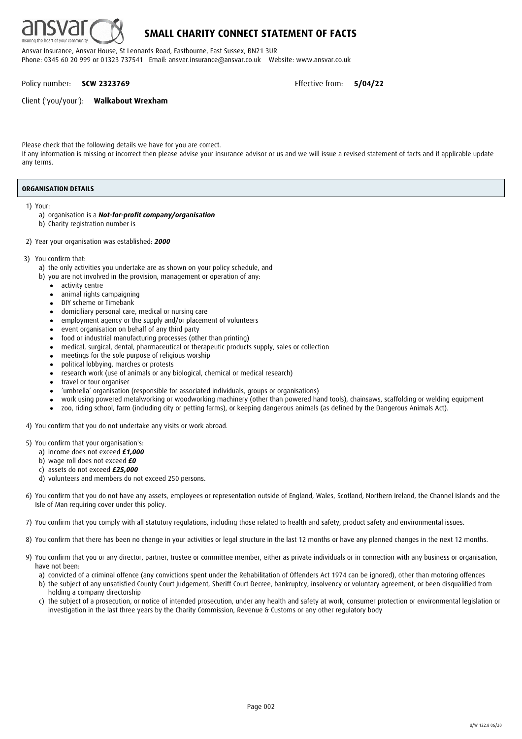

## **SMALL CHARITY CONNECT STATEMENT OF FACTS**

Ansvar Insurance, Ansvar House, St Leonards Road, Eastbourne, East Sussex, BN21 3UR Phone: 0345 60 20 999 or 01323 737541 Email: ansvar.insurance@ansvar.co.uk Website: www.ansvar.co.uk

Policy number: **SCW 2323769 Effective from: 5/04/22** 

Client ('you/your'): **Walkabout Wrexham**

Please check that the following details we have for you are correct.

If any information is missing or incorrect then please advise your insurance advisor or us and we will issue a revised statement of facts and if applicable update any terms.

#### **ORGANISATION DETAILS**

1) Your:

- a) organisation is a *Not-for-profit company/organisation*
- b) Charity registration number is
- 2) Year your organisation was established: *2000*
- 3) You confirm that:
	- a) the only activities you undertake are as shown on your policy schedule, and
	- b) you are not involved in the provision, management or operation of any:
		- activity centre ●
		- animal rights campaigning  $\bullet$
		- DIY scheme or Timebank ●
		- domiciliary personal care, medical or nursing care ●
		- employment agency or the supply and/or placement of volunteers ●
		- event organisation on behalf of any third party ●
		- food or industrial manufacturing processes (other than printing) ●
		- medical, surgical, dental, pharmaceutical or therapeutic products supply, sales or collection ●
		- meetings for the sole purpose of religious worship ●
		- political lobbying, marches or protests ●
		- research work (use of animals or any biological, chemical or medical research)  $\bullet$
		- travel or tour organiser ●
		- 'umbrella' organisation (responsible for associated individuals, groups or organisations) ●
		- work using powered metalworking or woodworking machinery (other than powered hand tools), chainsaws, scaffolding or welding equipment ●
		- zoo, riding school, farm (including city or petting farms), or keeping dangerous animals (as defined by the Dangerous Animals Act). ●

4) You confirm that you do not undertake any visits or work abroad.

- 5) You confirm that your organisation's:
	- a) income does not exceed *£1,000*
	- b) wage roll does not exceed *£0*
	- c) assets do not exceed *£25,000*
	- d) volunteers and members do not exceed 250 persons.
- 6) You confirm that you do not have any assets, employees or representation outside of England, Wales, Scotland, Northern Ireland, the Channel Islands and the Isle of Man requiring cover under this policy.
- 7) You confirm that you comply with all statutory regulations, including those related to health and safety, product safety and environmental issues.
- 8) You confirm that there has been no change in your activities or legal structure in the last 12 months or have any planned changes in the next 12 months.
- 9) You confirm that you or any director, partner, trustee or committee member, either as private individuals or in connection with any business or organisation, have not been:
	- a) convicted of a criminal offence (any convictions spent under the Rehabilitation of Offenders Act 1974 can be ignored), other than motoring offences
	- b) the subject of any unsatisfied County Court Judgement, Sheriff Court Decree, bankruptcy, insolvency or voluntary agreement, or been disqualified from holding a company directorship
	- c) the subject of a prosecution, or notice of intended prosecution, under any health and safety at work, consumer protection or environmental legislation or investigation in the last three years by the Charity Commission, Revenue & Customs or any other regulatory body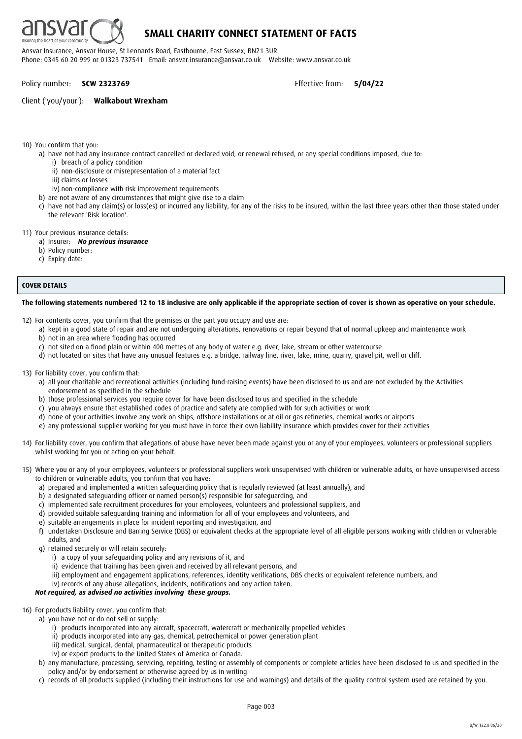

Policy number: **SCW 2323769 Effective from: 5/04/22** 

#### Client ('you/your'): **Walkabout Wrexham**

10) You confirm that you:

a) have not had any insurance contract cancelled or declared void, or renewal refused, or any special conditions imposed, due to:

- i) breach of a policy condition
- ii) non-disclosure or misrepresentation of a material fact
- iii) claims or losses
- iv) non-compliance with risk improvement requirements
- b) are not aware of any circumstances that might give rise to a claim
- c) have not had any claim(s) or loss(es) or incurred any liability, for any of the risks to be insured, within the last three years other than those stated under the relevant 'Risk location'.
- 11) Your previous insurance details:
	- a) Insurer: *No previous insurance*
	- b) Policy number:
	- c) Expiry date:

#### **COVER DETAILS**

#### **The following statements numbered 12 to 18 inclusive are only applicable if the appropriate section of cover is shown as operative on your schedule.**

- 12) For contents cover, you confirm that the premises or the part you occupy and use are:
	- a) kept in a good state of repair and are not undergoing alterations, renovations or repair beyond that of normal upkeep and maintenance work
	- b) not in an area where flooding has occurred
	- c) not sited on a flood plain or within 400 metres of any body of water e.g. river, lake, stream or other watercourse
	- d) not located on sites that have any unusual features e.g. a bridge, railway line, river, lake, mine, quarry, gravel pit, well or cliff.
- 13) For liability cover, you confirm that:
	- a) all your charitable and recreational activities (including fund-raising events) have been disclosed to us and are not excluded by the Activities endorsement as specified in the schedule
	- b) those professional services you require cover for have been disclosed to us and specified in the schedule
	- c) you always ensure that established codes of practice and safety are complied with for such activities or work
	- d) none of your activities involve any work on ships, offshore installations or at oil or gas refineries, chemical works or airports
	- e) any professional supplier working for you must have in force their own liability insurance which provides cover for their activities
- 14) For liability cover, you confirm that allegations of abuse have never been made against you or any of your employees, volunteers or professional suppliers whilst working for you or acting on your behalf.
- 15) Where you or any of your employees, volunteers or professional suppliers work unsupervised with children or vulnerable adults, or have unsupervised access to children or vulnerable adults, you confirm that you have:
	- a) prepared and implemented a written safeguarding policy that is regularly reviewed (at least annually), and
	- b) a designated safeguarding officer or named person(s) responsible for safeguarding, and
	- c) implemented safe recruitment procedures for your employees, volunteers and professional suppliers, and
	- d) provided suitable safeguarding training and information for all of your employees and volunteers, and
	- e) suitable arrangements in place for incident reporting and investigation, and
	- f) undertaken Disclosure and Barring Service (DBS) or equivalent checks at the appropriate level of all eligible persons working with children or vulnerable adults, and
	- g) retained securely or will retain securely:
		- i) a copy of your safeguarding policy and any revisions of it, and
		- ii) evidence that training has been given and received by all relevant persons, and
		- iii) employment and engagement applications, references, identity verifications, DBS checks or equivalent reference numbers, and
		- iv) records of any abuse allegations, incidents, notifications and any action taken.

#### *Not required, as advised no activities involving these groups.*

- 16) For products liability cover, you confirm that:
	- a) you have not or do not sell or supply:
		- i) products incorporated into any aircraft, spacecraft, watercraft or mechanically propelled vehicles
		- ii) products incorporated into any gas, chemical, petrochemical or power generation plant
		- iii) medical, surgical, dental, pharmaceutical or therapeutic products
		- iv) or export products to the United States of America or Canada.
	- b) any manufacture, processing, servicing, repairing, testing or assembly of components or complete articles have been disclosed to us and specified in the policy and/or by endorsement or otherwise agreed by us in writing
	- c) records of all products supplied (including their instructions for use and warnings) and details of the quality control system used are retained by you.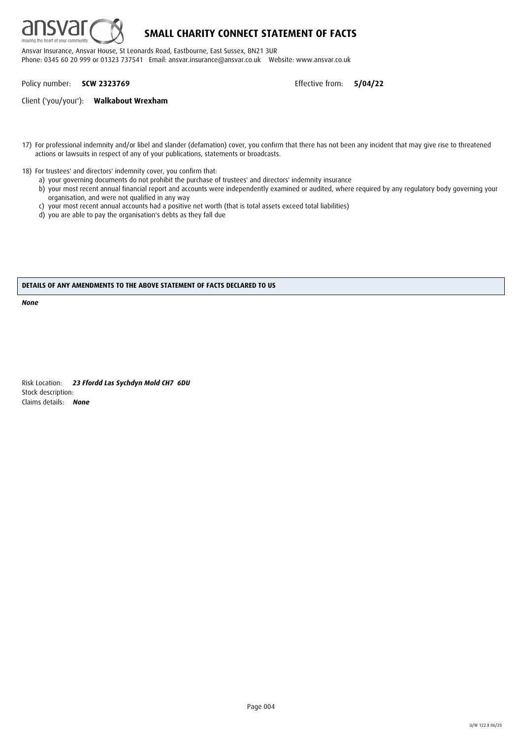

## **SMALL CHARITY CONNECT STATEMENT OF FACTS**

Ansvar Insurance, Ansvar House, St Leonards Road, Eastbourne, East Sussex, BN21 3UR Phone: 0345 60 20 999 or 01323 737541 Email: ansvar.insurance@ansvar.co.uk Website: www.ansvar.co.uk

Policy number: **SCW 2323769** Effective from: **5/04/22**

Client ('you/your'): **Walkabout Wrexham**

- 17) For professional indemnity and/or libel and slander (defamation) cover, you confirm that there has not been any incident that may give rise to threatened actions or lawsuits in respect of any of your publications, statements or broadcasts.
- 18) For trustees' and directors' indemnity cover, you confirm that:
	- a) your governing documents do not prohibit the purchase of trustees' and directors' indemnity insurance
	- b) your most recent annual financial report and accounts were independently examined or audited, where required by any regulatory body governing your organisation, and were not qualified in any way
	- c) your most recent annual accounts had a positive net worth (that is total assets exceed total liabilities)
	- d) you are able to pay the organisation's debts as they fall due

#### **DETAILS OF ANY AMENDMENTS TO THE ABOVE STATEMENT OF FACTS DECLARED TO US**

*None*

Risk Location: *23 Ffordd Las Sychdyn Mold CH7 6DU* Stock description: Claims details: *None*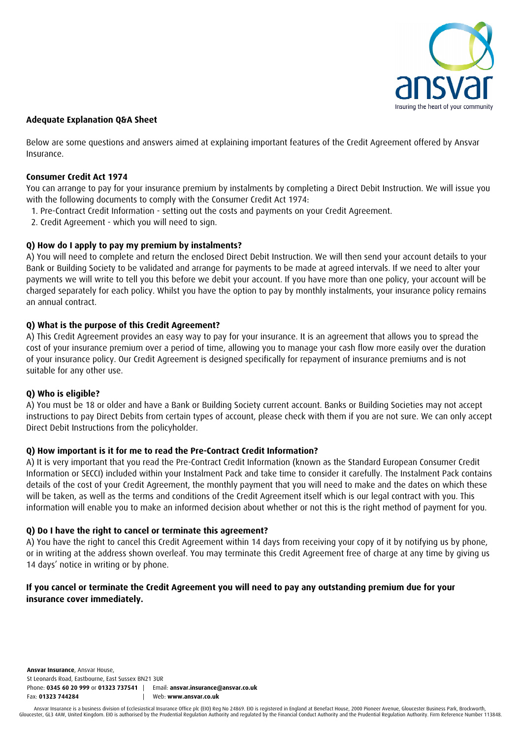

## **Adequate Explanation Q&A Sheet**

Below are some questions and answers aimed at explaining important features of the Credit Agreement offered by Ansvar Insurance.

## **Consumer Credit Act 1974**

You can arrange to pay for your insurance premium by instalments by completing a Direct Debit Instruction. We will issue you with the following documents to comply with the Consumer Credit Act 1974:

- 1. Pre-Contract Credit Information setting out the costs and payments on your Credit Agreement.
- 2. Credit Agreement which you will need to sign.

## **Q) How do I apply to pay my premium by instalments?**

A) You will need to complete and return the enclosed Direct Debit Instruction. We will then send your account details to your Bank or Building Society to be validated and arrange for payments to be made at agreed intervals. If we need to alter your payments we will write to tell you this before we debit your account. If you have more than one policy, your account will be charged separately for each policy. Whilst you have the option to pay by monthly instalments, your insurance policy remains an annual contract.

## **Q) What is the purpose of this Credit Agreement?**

A) This Credit Agreement provides an easy way to pay for your insurance. It is an agreement that allows you to spread the cost of your insurance premium over a period of time, allowing you to manage your cash flow more easily over the duration of your insurance policy. Our Credit Agreement is designed specifically for repayment of insurance premiums and is not suitable for any other use.

## **Q) Who is eligible?**

A) You must be 18 or older and have a Bank or Building Society current account. Banks or Building Societies may not accept instructions to pay Direct Debits from certain types of account, please check with them if you are not sure. We can only accept Direct Debit Instructions from the policyholder.

## **Q) How important is it for me to read the Pre-Contract Credit Information?**

A) It is very important that you read the Pre-Contract Credit Information (known as the Standard European Consumer Credit Information or SECCI) included within your Instalment Pack and take time to consider it carefully. The Instalment Pack contains details of the cost of your Credit Agreement, the monthly payment that you will need to make and the dates on which these will be taken, as well as the terms and conditions of the Credit Agreement itself which is our legal contract with you. This information will enable you to make an informed decision about whether or not this is the right method of payment for you.

## **Q) Do I have the right to cancel or terminate this agreement?**

A) You have the right to cancel this Credit Agreement within 14 days from receiving your copy of it by notifying us by phone, or in writing at the address shown overleaf. You may terminate this Credit Agreement free of charge at any time by giving us 14 days' notice in writing or by phone.

## **If you cancel or terminate the Credit Agreement you will need to pay any outstanding premium due for your insurance cover immediately.**

**Ansvar Insurance**, Ansvar House, St Leonards Road, Eastbourne, East Sussex BN21 3UR Phone: **0345 60 20 999** or **01323 737541** | Email: **ansvar.insurance@ansvar.co.uk** Fax: **01323 744284** | Web: **www.ansvar.co.uk**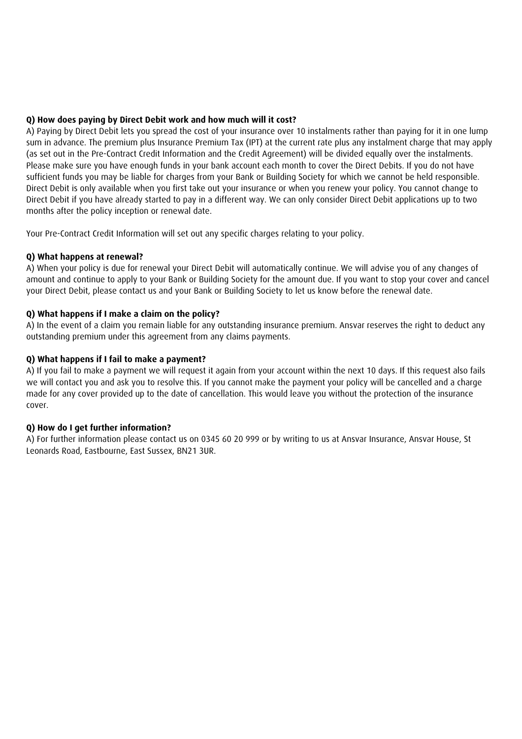## **Q) How does paying by Direct Debit work and how much will it cost?**

A) Paying by Direct Debit lets you spread the cost of your insurance over 10 instalments rather than paying for it in one lump sum in advance. The premium plus Insurance Premium Tax (IPT) at the current rate plus any instalment charge that may apply (as set out in the Pre-Contract Credit Information and the Credit Agreement) will be divided equally over the instalments. Please make sure you have enough funds in your bank account each month to cover the Direct Debits. If you do not have sufficient funds you may be liable for charges from your Bank or Building Society for which we cannot be held responsible. Direct Debit is only available when you first take out your insurance or when you renew your policy. You cannot change to Direct Debit if you have already started to pay in a different way. We can only consider Direct Debit applications up to two months after the policy inception or renewal date.

Your Pre-Contract Credit Information will set out any specific charges relating to your policy.

## **Q) What happens at renewal?**

A) When your policy is due for renewal your Direct Debit will automatically continue. We will advise you of any changes of amount and continue to apply to your Bank or Building Society for the amount due. If you want to stop your cover and cancel your Direct Debit, please contact us and your Bank or Building Society to let us know before the renewal date.

## **Q) What happens if I make a claim on the policy?**

A) In the event of a claim you remain liable for any outstanding insurance premium. Ansvar reserves the right to deduct any outstanding premium under this agreement from any claims payments.

## **Q) What happens if I fail to make a payment?**

A) If you fail to make a payment we will request it again from your account within the next 10 days. If this request also fails we will contact you and ask you to resolve this. If you cannot make the payment your policy will be cancelled and a charge made for any cover provided up to the date of cancellation. This would leave you without the protection of the insurance cover.

## **Q) How do I get further information?**

A) For further information please contact us on 0345 60 20 999 or by writing to us at Ansvar Insurance, Ansvar House, St Leonards Road, Eastbourne, East Sussex, BN21 3UR.